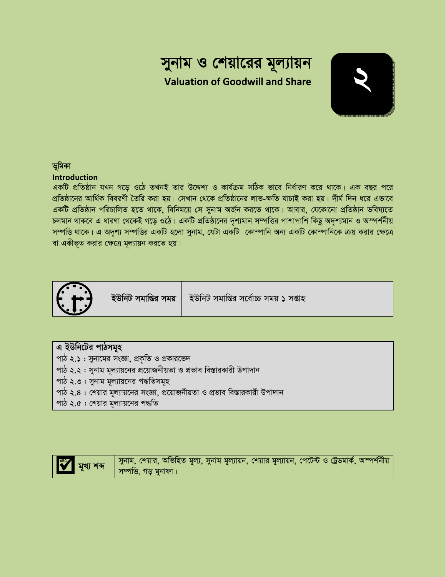# সুনাম ও শেয়ারের মূল্যায়ন **Valuation of Goodwill and Share**



#### ভূমিকা

#### **Introduction**

একটি প্রতিষ্ঠান যখন গড়ে ওঠে তখনই তার উদ্দেশ্য ও কার্যক্রম সঠিক ভাবে নির্ধারণ করে থাকে। এক বছর পরে প্রতিষ্ঠানের আর্থিক বিবরণী তৈরি করা হয়। সেখান থেকে প্রতিষ্ঠানের লাভ-ক্ষতি যাচাই করা হয়। দীর্ঘ দিন ধরে এভাবে একটি প্রতিষ্ঠান পরিচালিত হতে থাকে, বিনিময়ে সে সুনাম অর্জন করতে থাকে। আবার, যেকোনো প্রতিষ্ঠান ভবিষ্যতে চলমান থাকবে এ ধারণা থেকেই গড়ে ওঠে। একটি প্রতিষ্ঠানের দৃশ্যমান সম্পত্তির পাশাপাশি কিছু অদৃশ্যমান ও অস্পর্শনীয় সম্পত্তি থাকে। এ অদৃশ্য সম্পত্তির একটি হলো সুনাম, যেটা একটি কোম্পানি অন্য একটি কোম্পানিকে ক্রয় করার ক্ষেত্রে বা একীভূত করার ক্ষেত্রে মূল্যায়ন করতে হয়।



ইউনিট সমাপ্তির সময়

ইউনিট সমাপ্তির সর্বোচ্চ সময় ১ সপ্তাহ

#### এ ইউনিটের পাঠসমূহ

- পাঠ ২.১: সুনামের সংজ্ঞা, প্রকৃতি ও প্রকারভেদ
- পাঠ ২.২ : সুনাম মূল্যায়নের প্রয়োজনীয়তা ও প্রভাব বিস্তারকারী উপাদান
- পাঠ ২.৩ : সুনাম মূল্যায়নের পদ্ধতিসমূহ
- পাঠ ২.৪ : শেয়ার মূল্যায়নের সংজ্ঞা, প্রয়োজনীয়তা ও প্রভাব বিস্তারকারী উপাদান
- পাঠ ২.৫ : শেয়ার মূল্যায়নের পদ্ধতি

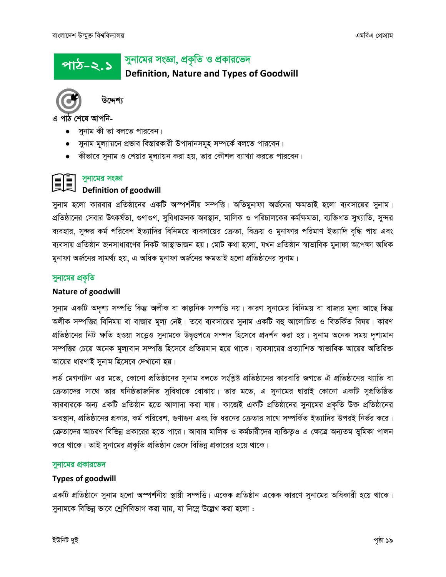#### সুনামের সংজ্ঞা, প্রকৃতি ও প্রকারভেদ <u>পাঠ-২.১</u> **Definition, Nature and Types of Goodwill**



উদ্দেশ

এ পাঠ শেষে আপনি-

- সুনাম কী তা বলতে পারবেন।
- সুনাম মূল্যায়নে প্রভাব বিস্তারকারী উপাদানসমূহ সম্পর্কে বলতে পারবেন।
- কীভাবে সুনাম ও শেয়ার মূল্যায়ন করা হয়, তার কৌশল ব্যাখ্যা করতে পারবেন।

#### সুনামের সংজ্ঞা

#### **Definition of goodwill**

সুনাম হলো কারবার প্রতিষ্ঠানের একটি অস্পর্শনীয় সম্পত্তি। অতিমুনাফা অর্জনের ক্ষমতাই হলো ব্যবসায়ের সুনাম। প্রতিষ্ঠানের সেবার উৎকর্ষতা, গুণাগুণ, সুবিধাজনক অবস্থান, মালিক ও পরিচালকের কর্মক্ষমতা, ব্যক্তিগত সুখ্যাতি, সুন্দর ব্যবহার, সুন্দর কর্ম পরিবেশ ইত্যাদির বিনিময়ে ব্যবসায়ের ক্রেতা, বিক্রয় ও মুনাফার পরিমাণ ইত্যাদি বৃদ্ধি পায় এবং ব্যবসায় প্রতিষ্ঠান জনসাধারণের নিকট আস্থাভাজন হয়। মোট কথা হলো, যখন প্রতিষ্ঠান স্বাভাবিক মুনাফা অপেক্ষা অধিক মুনাফা অর্জনের সামর্থ্য হয়, এ অধিক মুনাফা অর্জনের ক্ষমতাই হলো প্রতিষ্ঠানের সুনাম।

#### সুনামের প্রকৃতি

#### **Nature of goodwill**

সুনাম একটি অদৃশ্য সম্পত্তি কিন্তু অলীক বা কাল্পনিক সম্পত্তি নয়। কারণ সুনামের বিনিময় বা বাজার মূল্য আছে কিন্ত অলীক সম্পত্তির বিনিময় বা বাজার মূল্য নেই। তবে ব্যবসায়ের সুনাম একটি বহু আলোচিত ও বিতর্কিত বিষয়। কারণ প্রতিষ্ঠানের নিট ক্ষতি হওয়া সত্ত্বেও সুনামকে উদ্বত্তপত্রে সম্পদ হিসেবে প্রদর্শন করা হয়। সুনাম অনেক সময় দৃশ্যমান সম্পত্তির চেয়ে অনেক মূল্যবান সম্পত্তি হিসেবে প্রতিয়মান হয়ে থাকে। ব্যবসায়ের প্রত্যাশিত স্বাভাবিক আয়ের অতিরিক্ত আয়ের ধারণাই সুনাম হিসেবে দেখানো হয়।

লর্ড মেগনাটন এর মতে, কোনো প্রতিষ্ঠানের সুনাম বলতে সংশ্লিষ্ট প্রতিষ্ঠানের কারবারি জগতে ঐ প্রতিষ্ঠানের খ্যাতি বা ক্রেতাদের সাথে তার ঘনিষ্ঠতাজনিত সুবিধাকে বোঝায়। তার মতে, এ সুনামের দ্বারাই কোনো একটি সুপ্রতিষ্ঠিত কারবারকে অন্য একটি প্রতিষ্ঠান হতে আলাদা করা যায়। কাজেই একটি প্রতিষ্ঠানের সুনামের প্রকৃতি উক্ত প্রতিষ্ঠানের অবস্থান, প্রতিষ্ঠানের প্রকার, কর্ম পরিবেশ, গুণাগুন এবং কি ধরনের ক্রেতার সাথে সম্পর্কিত ইত্যাদির উপরই নির্ভর করে। ক্রেতাদের আচরণ বিভিন্ন প্রকারের হতে পারে। আবার মালিক ও কর্মচারীদের ব্যক্তিত্বও এ ক্ষেত্রে অন্যতম ভূমিকা পালন করে থাকে। তাই সুনামের প্রকৃতি প্রতিষ্ঠান ভেদে বিভিন্ন প্রকারের হয়ে থাকে।

#### সুনামের প্রকারভেদ

#### **Types of goodwill**

একটি প্রতিষ্ঠানে সুনাম হলো অস্পর্শনীয় স্থায়ী সম্পত্তি। একেক প্রতিষ্ঠান একেক কারণে সুনামের অধিকারী হয়ে থাকে। সুনামকে বিভিন্ন ভাবে শ্রেণিবিভাগ করা যায়, যা নিম্নে উল্লেখ করা হলো :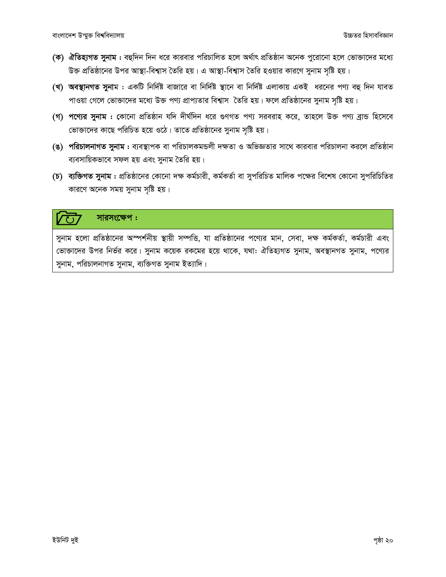- (ক) ঐতিহ্যগত সুনাম : বহুদিন দিন ধরে কারবার পরিচালিত হলে অর্থাৎ প্রতিষ্ঠান অনেক পুরোনো হলে ভোক্তাদের মধ্যে উক্ত প্রতিষ্ঠানের উপর আস্থা-বিশ্বাস তৈরি হয়। এ আস্থা-বিশ্বাস তৈরি হওয়ার কারণে সুনাম সৃষ্টি হয়।
- (খ) অবস্থানগত সুনাম : একটি নির্দিষ্ট বাজারে বা নির্দিষ্ট স্থানে বা নির্দিষ্ট এলাকায় একই ধরনের পণ্য বহু দিন যাবত পাওয়া গেলে ভোক্তাদের মধ্যে উক্ত পণ্য প্রাপ্যতার বিশ্বাস তৈরি হয়। ফলে প্রতিষ্ঠানের সুনাম সৃষ্টি হয়।
- (গ) পণ্যের সুনাম : কোনো প্রতিষ্ঠান যদি দীর্ঘদিন ধরে গুণগত পণ্য সরবরাহ করে, তাহলে উক্ত পণ্য ব্রান্ড হিসেবে ভোক্তাদের কাছে পরিচিত হয়ে ওঠে। তাতে প্রতিষ্ঠানের সুনাম সৃষ্টি হয়।
- (ঙ) পরিচালনাগত সুনাম : ব্যবস্থাপক বা পরিচালকমন্ডলী দক্ষতা ও অভিজ্ঞতার সাথে কারবার পরিচালনা করলে প্রতিষ্ঠান ব্যবসায়িকভাবে সফল হয় এবং সুনাম তৈরি হয়।
- (**চ) ব্যক্তিগত সুনাম :** প্রতিষ্ঠানের কোনো দক্ষ কর্মচারী, কর্মকর্তা বা সুপরিচিত মালিক পক্ষের বিশেষ কোনো সুপরিচিতির কারণে অনেক সময় সুনাম সৃষ্টি হয়।

#### সারসংক্ষেপ:

সুনাম হলো প্রতিষ্ঠানের অস্পর্শনীয় স্থায়ী সম্পত্তি, যা প্রতিষ্ঠানের পণ্যের মান, সেবা, দক্ষ কর্মকর্তা, কর্মচারী এবং ভোক্তাদের উপর নির্ভর করে। সুনাম কয়েক রকমের হয়ে থাকে, যথা: ঐতিহ্যগত সুনাম, অবস্থানগত সুনাম, পণ্যের সুনাম, পরিচালনাগত সুনাম, ব্যক্তিগত সুনাম ইত্যাদি।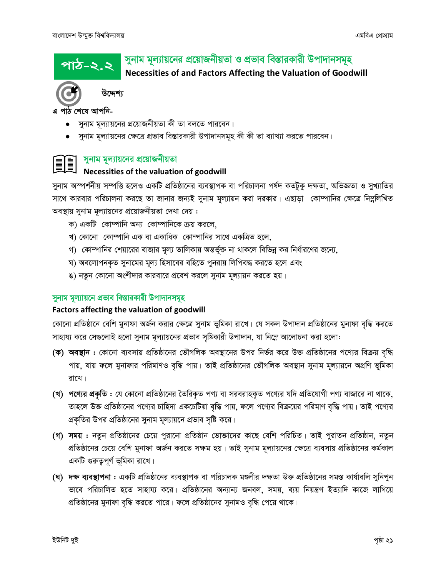<u> পাঠ-২.২</u>

### সুনাম মূল্যায়নের প্রয়োজনীয়তা ও প্রভাব বিস্তারকারী উপাদানসমূহ

Necessities of and Factors Affecting the Valuation of Goodwill



উদ্দেশ্য

এ পাঠ শেষে আপনি-

- সুনাম মূল্যায়নের প্রয়োজনীয়তা কী তা বলতে পারবেন।
- সুনাম মূল্যায়নের ক্ষেত্রে প্রভাব বিস্তারকারী উপাদানসমূহ কী কী তা ব্যাখ্যা করতে পারবেন।



## সুনাম মূল্যায়নের প্রয়োজনীয়তা

### Necessities of the valuation of goodwill

সুনাম অস্পর্শনীয় সম্পত্তি হলেও একটি প্রতিষ্ঠানের ব্যবস্থাপক বা পরিচালনা পর্যদ কতটুকু দক্ষতা, অভিজ্ঞতা ও সুখ্যাতির সাথে কারবার পরিচালনা করছে তা জানার জন্যই সুনাম মূল্যায়ন করা দরকার। এছাড়া ব্রোম্পানির ক্ষেত্রে নিম্নলিখিত অবস্থায় সুনাম মূল্যায়নের প্রয়োজনীয়তা দেখা দেয় :

- ক) একটি কোম্পানি অন্য কোম্পানিকে ক্রয় করলে,
- খ) কোনো কোম্পানি এক বা একাধিক কোম্পানির সাথে একত্রিত হলে,
- গ) কোম্পানির শেয়ারের বাজার মূল্য তালিকায় অন্তর্ভূক্ত না থাকলে বিভিন্ন কর নির্ধারণের জন্যে,
- ঘ) অবলোপনকৃত সুনামের মূল্য হিসাবের বহিতে পুনরায় লিপিবদ্ধ করতে হলে এবং
- ঙ) নতুন কোনো অংশীদার কারবারে প্রবেশ করলে সুনাম মূল্যায়ন করতে হয়।

#### সুনাম মূল্যায়নে প্রভাব বিস্তারকারী উপাদানসমূহ

#### Factors affecting the valuation of goodwill

কোনো প্রতিষ্ঠানে বেশি মুনাফা অর্জন করার ক্ষেত্রে সুনাম ভুমিকা রাখে। যে সকল উপাদান প্রতিষ্ঠানের মুনাফা বৃদ্ধি করতে সাহায্য করে সেগুলোই হলো সুনাম মূল্যায়নের প্রভাব সৃষ্টিকারী উপাদান, যা নিম্নে আলোচনা করা হলো:

- (ক) অবস্থান : কোনো ব্যবসায় প্রতিষ্ঠানের ভৌগলিক অবস্থানের উপর নির্ভর করে উক্ত প্রতিষ্ঠানের পণ্যের বিক্রয় বৃদ্ধি পায়, যায় ফলে মুনাফার পরিমাণও বৃদ্ধি পায়। তাই প্রতিষ্ঠানের ভৌগলিক অবস্থান সুনাম মূল্যায়নে অগ্রণি ভূমিকা রাখে।
- (খ) পণ্যের প্রকৃতি : যে কোনো প্রতিষ্ঠানের তৈরিকৃত পণ্য বা সরবরাহকৃত পণ্যের যদি প্রতিযোগী পণ্য বাজারে না থাকে, তাহলে উক্ত প্রতিষ্ঠানের পণ্যের চাহিদা একচেটিয়া বৃদ্ধি পায়, ফলে পণ্যের বিক্রয়ের পরিমাণ বৃদ্ধি পায়। তাই পণ্যের প্রকৃতির উপর প্রতিষ্ঠানের সুনাম মূল্যায়নে প্রভাব সৃষ্টি করে।
- (গ) সময় : নতুন প্রতিষ্ঠানের চেয়ে পুরানো প্রতিষ্ঠান ভোজাদের কাছে বেশি পরিচিত। তাই পুরাতন প্রতিষ্ঠান, নতুন প্রতিষ্ঠানের চেয়ে বেশি মুনাফা অর্জন করতে সক্ষম হয়। তাই সুনাম মূল্যায়নের ক্ষেত্রে ব্যবসায় প্রতিষ্ঠানের কর্মকাল একটি গুরুতুপূর্ণ ভূমিকা রাখে।
- (ঘ) দক্ষ ব্যবস্থাপনা : একটি প্রতিষ্ঠানের ব্যবস্থাপক বা পরিচালক মণ্ডলীর দক্ষতা উক্ত প্রতিষ্ঠানের সমস্ত কার্যাবলি সুনিপুন ভাবে পরিচালিত হতে সাহায্য করে। প্রতিষ্ঠানের অন্যান্য জনবল, সময়, ব্যয় নিয়ন্ত্রণ ইত্যাদি কাজে লাগিয়ে প্রতিষ্ঠানের মুনাফা বৃদ্ধি করতে পারে। ফলে প্রতিষ্ঠানের সুনামও বৃদ্ধি পেয়ে থাকে।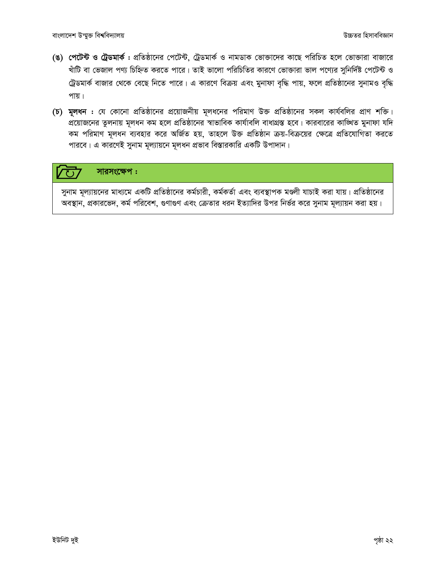- (ঙ) পেটেন্ট ও ট্রেডমার্ক : প্রতিষ্ঠানের পেটেন্ট, ট্রেডমার্ক ও নামডাক ভোক্তাদের কাছে পরিচিত হলে ভোক্তারা বাজারে খাঁটি বা ভেজাল পণ্য চিহ্নিত করতে পারে। তাই ভালো পরিচিতির কারণে ভোক্তারা ভাল পণ্যের সুনির্দিষ্ট পেটেন্ট ও ট্রেডমার্ক বাজার থেকে বেছে নিতে পারে। এ কারণে বিক্রয় এবং মুনাফা বৃদ্ধি পায়, ফলে প্রতিষ্ঠানের সুনামও বৃদ্ধি পায়।
- (চ) মূলধন : যে কোনো প্রতিষ্ঠানের প্রয়োজনীয় মূলধনের পরিমাণ উক্ত প্রতিষ্ঠানের সকল কার্যবলির প্রাণ শক্তি। প্রয়োজনের তুলনায় মূলধন কম হলে প্রতিষ্ঠানের স্বাভাবিক কার্যাবলি বাধাগ্রস্ত হবে। কারবারের কাঙ্খিত মুনাফা যদি কম পরিমাণ মূলধন ব্যবহার করে অর্জিত হয়, তাহলে উক্ত প্রতিষ্ঠান ক্রয়-বিক্রয়ের ক্ষেত্রে প্রতিযোগিতা করতে পারবে। এ কারণেই সুনাম মূল্যায়নে মূলধন প্রভাব বিস্তারকারি একটি উপাদান।

#### সারসংক্ষেপ:  $\overline{O}$

সুনাম মূল্যায়নের মাধ্যমে একটি প্রতিষ্ঠানের কর্মচারী, কর্মকর্তা এবং ব্যবস্থাপক মণ্ডলী যাচাই করা যায়। প্রতিষ্ঠানের অবস্থান, প্রকারভেদ, কর্ম পরিবেশ, গুণাগুণ এবং ক্রেতার ধরন ইত্যাদির উপর নির্ভর করে সুনাম মূল্যায়ন করা হয়।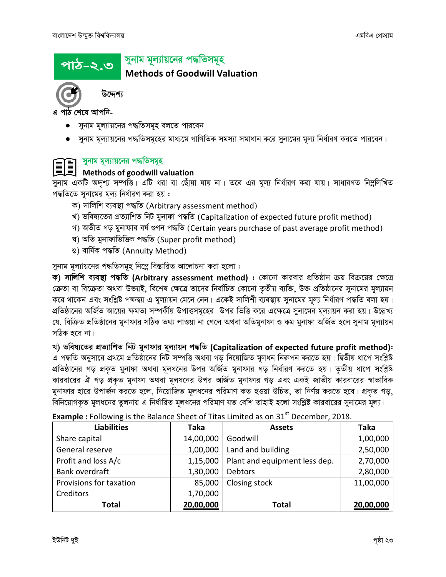# *cvV-2.3*

## সুনাম মূল্যায়নের পদ্ধতিসমূহ

**Methods of Goodwill Valuation**



উদ্দেশ্য

*পাঠ শে*ষে আপনি-

- সুনাম মূল্যায়নের পদ্ধতিসমূহ বলতে পারবেন।
- $\bullet$  সুনাম মূল্যায়নের পদ্ধতিসমূহের মাধ্যমে গাণিতিক সমস্যা সমাধান করে সুনামের মূল্য নির্ধারণ করতে পারবেন।

### *সু*নাম মূল্যায়নের পদ্ধতিসমূহ

#### **Methods of goodwill valuation**

*সু*নাম একটি অদৃশ্য সম্পত্তি। এটি ধরা বা ছোঁয়া যায় না। তবে এর মূল্য নির্ধারণ করা যায়। সাধারণত নিম্নলিখিত  $\gamma$ দ্ধতিতে সুনামের মূল্য নির্ধারণ করা হয় :

- ক) সালিশি ব্যবস্থা পদ্ধতি (Arbitrary assessment method)
- *L) fwel¨‡Zi cÖZ¨vwkZ wbU gybvdv c×wZ (*Capitalization of expected future profit method*)*
- *M) AZxZ Mo gybvdvi el© ¸Yb c×wZ (*Certain years purchase of past average profit method*)*
- *N) AwZ gybvdvwfwËK c×wZ (*Super profit method*)*
- *O) evwl©K c×wZ (*Annuity Method*)*

 $\overline{\eta}$ নাম মূল্যায়নের পদ্ধতিসমূহ নিম্নে বিস্তারিত আলোচনা করা হলো :

ক) সালিশি ব্যবস্থা পদ্ধতি (Arbitrary assessment method) : কোনো কারবার প্রতিষ্ঠান ক্রয় বিক্রয়ের ক্ষেত্রে *(*ক্রতা বা বিক্রেতা অথবা উভয়ই, বিশেষ ক্ষেত্রে তাদের নির্বাচিত কোনো তৃতীয় ব্যক্তি, উক্ত প্রতিষ্ঠানের সুনামের মূল্যায়ন *ক*রে থাকেন এবং সংশ্লিষ্ট পক্ষদ্বয় এ মূল্যায়ন মেনে নেন। একেই সালিশী ব্যবস্থায় সুনামের মূল্য নির্ধারণ পদ্ধতি বলা হয়। প্রতিষ্ঠানের অর্জিত আয়ের ক্ষমতা সম্পর্কীয় উপাত্তসমূহের উপর ভিত্তি করে এক্ষেত্রে সুনামের মূল্যায়ন করা হয়। উল্লেখ্য যে, বিক্ৰিত প্ৰতিষ্ঠানের মুনাফার সঠিক তথ্য পাওয়া না গেলে অথবা অতিমুনাফা ও কম মুনাফা অৰ্জিত হলে সুনাম মূল্যায়ন সঠিক হবে না।

*L) fwel¨‡Zi cÖZ¨vwkZ wbU gybvdvi g~j¨vqb c×wZ* **(Capitalization of expected future profit method)***:* এ পদ্ধতি অনুসারে প্রথমে প্রতিষ্ঠানের নিট সম্পত্তি অথবা গড় নিয়োজিত মূলধন নিরুপন করতে হয়। দ্বিতীয় ধাপে সংশ্লিষ্ট প্রতিষ্ঠানের গড় প্রকৃত মুনাফা অথবা মূলধনের উপর অর্জিত মুনাফার গড় নির্ধারণ করতে হয়। তৃতীয় ধাপে সংশ্লিষ্ট কারবারের ঐ গড় প্রকৃত মুনাফা অথবা মূলধনের উপর অর্জিত মুনাফার গড় এবং একই জাতীয় কারবারের স্বাভাবিক মুনাফার হারে উপার্জন করতে হলে, নিয়োজিত মূলধনের পরিমাণ কত হওয়া উচিত, তা নির্ণয় করতে হবে। প্রকৃত গড়, *বি*নিয়োগকৃত মূলধনের তুলনায় এ নির্ধারিত মূলধনের পরিমাণ যত বেশি তাহাই হলো সংশ্লিষ্ট কারবারের সুনামের মূল্য।

| <b>Liabilities</b>      | <b>Taka</b> | <b>Assets</b>                 | <b>Taka</b> |
|-------------------------|-------------|-------------------------------|-------------|
| Share capital           | 14,00,000   | Goodwill                      | 1,00,000    |
| General reserve         | 1,00,000    | Land and building             | 2,50,000    |
| Profit and loss A/c     | 1,15,000    | Plant and equipment less dep. | 2,70,000    |
| Bank overdraft          | 1,30,000    | <b>Debtors</b>                | 2,80,000    |
| Provisions for taxation | 85,000      | Closing stock                 | 11,00,000   |
| Creditors               | 1,70,000    |                               |             |
| <b>Total</b>            | 20,00,000   | <b>Total</b>                  | 20,00,000   |

**Example**: Following is the Balance Sheet of Titas Limited as on 31<sup>st</sup> December, 2018.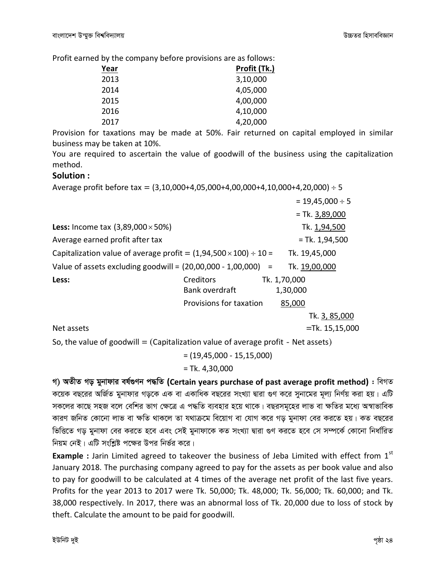Profit earned by the company before provisions are as follows:

| Year | Profit (Tk.) |
|------|--------------|
| 2013 | 3,10,000     |
| 2014 | 4,05,000     |
| 2015 | 4,00,000     |
| 2016 | 4,10,000     |
| 2017 | 4,20,000     |

Provision for taxations may be made at 50%. Fair returned on capital employed in similar business may be taken at 10%.

You are required to ascertain the value of goodwill of the business using the capitalization method.

#### Solution:

Average profit before tax =  $(3,10,000+4,05,000+4,00,000+4,10,000+4,20,000) \div 5$ 

|                                                                            |                         |              |          | $= 19,45,000 \div 5$ |
|----------------------------------------------------------------------------|-------------------------|--------------|----------|----------------------|
|                                                                            |                         |              |          | $=$ Tk. 3,89,000     |
| <b>Less:</b> Income tax $(3,89,000 \times 50\%)$                           |                         |              |          | Tk. 1,94,500         |
| Average earned profit after tax                                            |                         |              |          | $=$ Tk. 1,94,500     |
| Capitalization value of average profit = $(1,94,500 \times 100) \div 10 =$ |                         |              |          | Tk. 19,45,000        |
| Value of assets excluding goodwill = $(20,00,000 - 1,00,000) =$            |                         |              |          | Tk. 19,00,000        |
| Less:                                                                      | Creditors               | Tk. 1,70,000 |          |                      |
|                                                                            | Bank overdraft          |              | 1,30,000 |                      |
|                                                                            | Provisions for taxation |              | 85,000   |                      |
|                                                                            |                         |              |          | Tk. 3, 85,000        |
| Net assets                                                                 |                         |              |          | $=$ Tk. 15,15,000    |

So, the value of goodwill = (Capitalization value of average profit - Net assets)

 $= (19,45,000 - 15,15,000)$  $=$  Tk. 4,30,000

গ) অতীত গড় মুনাফার বর্ষগুণন পদ্ধতি (Certain years purchase of past average profit method) : বিগত কয়েক বছরের অর্জিত মুনাফার গড়কে এক বা একাধিক বছরের সংখ্যা দ্বারা গুণ করে সুনামের মূল্য নির্ণয় করা হয়। এটি সকলের কাছে সহজ বলে বেশির ভাগ ক্ষেত্রে এ পদ্ধতি ব্যবহার হয়ে থাকে। বছরসমূহের লাভ বা ক্ষতির মধ্যে অস্বাভাবিক কারণ জনিত কোনো লাভ বা ক্ষতি থাকলে তা যথাক্রমে বিয়োগ বা যোগ করে গড় মুনাফা বের করতে হয়। কত বছরের ভিত্তিতে গড় মুনাফা বের করতে হবে এবং সেই মুনাফাকে কত সংখ্যা দ্বারা গুণ করতে হবে সে সম্পর্কে কোনো নির্ধারিত নিয়ম নেই। এটি সংশ্লিষ্ট পক্ষের উপর নির্ভর করে।

**Example** : Jarin Limited agreed to takeover the business of Jeba Limited with effect from  $1<sup>st</sup>$ January 2018. The purchasing company agreed to pay for the assets as per book value and also to pay for goodwill to be calculated at 4 times of the average net profit of the last five years. Profits for the year 2013 to 2017 were Tk. 50,000; Tk. 48,000; Tk. 56,000; Tk. 60,000; and Tk. 38,000 respectively. In 2017, there was an abnormal loss of Tk. 20,000 due to loss of stock by theft. Calculate the amount to be paid for goodwill.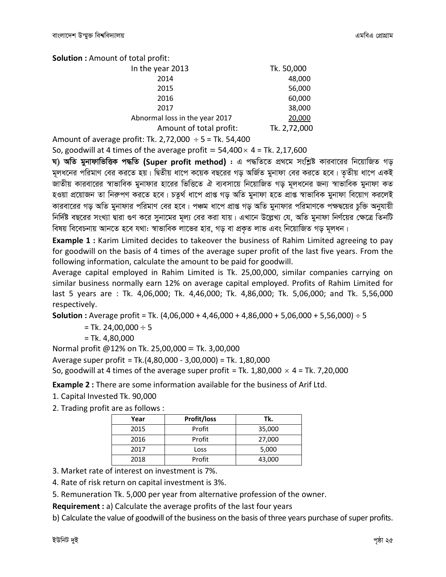**Solution: Amount of total profit:** 

| In the year 2013               | Tk. 50,000   |
|--------------------------------|--------------|
| 2014                           | 48,000       |
| 2015                           | 56,000       |
| 2016                           | 60,000       |
| 2017                           | 38,000       |
| Abnormal loss in the year 2017 | 20,000       |
| Amount of total profit:        | Tk. 2,72,000 |
|                                |              |

Amount of average profit: Tk. 2,72,000  $\div$  5 = Tk. 54,400

So, goodwill at 4 times of the average profit =  $54,400 \times 4$  = Tk. 2,17,600

ঘ) অতি মুনাফাভিত্তিক পদ্ধতি (Super profit method) : এ পদ্ধতিতে প্রথমে সংশ্লিষ্ট কারবারের নিয়োজিত গড় মূলধনের পরিমাণ বের করতে হয়। দ্বিতীয় ধাপে কয়েক বছরের গড় অর্জিত মুনাফা বের করতে হবে। তৃতীয় ধাপে একই জাতীয় কারবারের স্বাভাবিক মুনাফার হারের ভিত্তিতে ঐ ব্যবসায়ে নিয়োজিত গড় মূলধনের জন্য স্বাভাবিক মুনাফা কত হওয়া প্রয়োজন তা নিরুপণ করতে হবে। চতুর্থ ধাপে প্রাপ্ত গড় অতি মুনাফা হতে প্রাপ্ত স্বাভাবিক মুনাফা বিয়োগ করলেই কারবারের গড় অতি মুনাফার পরিমাণ বের হবে। পঞ্চম ধাপে প্রাপ্ত গড় অতি মুনাফার পরিমাণকে পক্ষদ্বয়ের চুক্তি অনুযায়ী নির্দিষ্ট বছরের সংখ্যা দ্বারা গুণ করে সুনামের মূল্য বের করা যায়। এখানে উল্লেখ্য যে, অতি মুনাফা নির্ণয়ের ক্ষেত্রে তিনটি বিষয় বিবেচনায় আনতে হবে যথা: স্বাভাবিক লাভের হার, গড় বা প্রকৃত লাভ এবং নিয়োজিত গড় মূলধন।

Example 1 : Karim Limited decides to takeover the business of Rahim Limited agreeing to pay for goodwill on the basis of 4 times of the average super profit of the last five years. From the following information, calculate the amount to be paid for goodwill.

Average capital employed in Rahim Limited is Tk. 25,00,000, similar companies carrying on similar business normally earn 12% on average capital employed. Profits of Rahim Limited for last 5 years are: Tk. 4,06,000; Tk. 4,46,000; Tk. 4,86,000; Tk. 5,06,000; and Tk. 5,56,000 respectively.

**Solution**: Average profit = Tk.  $(4,06,000 + 4,46,000 + 4,86,000 + 5,06,000 + 5,56,000) \div 5$ 

= Tk. 24,00,000  $\div$  5

 $= Tk. 4,80,000$ 

Normal profit @12% on Tk. 25,00,000 = Tk. 3,00,000

Average super profit = Tk.(4,80,000 - 3,00,000) = Tk. 1,80,000

So, goodwill at 4 times of the average super profit = Tk. 1,80,000  $\times$  4 = Tk. 7,20,000

**Example 2:** There are some information available for the business of Arif Ltd.

1. Capital Invested Tk. 90,000

2. Trading profit are as follows :

| Year | Profit/loss | Tk.    |
|------|-------------|--------|
| 2015 | Profit      | 35,000 |
| 2016 | Profit      | 27,000 |
| 2017 | Loss        | 5,000  |
| 2018 | Profit      | 43,000 |

3. Market rate of interest on investment is 7%.

4. Rate of risk return on capital investment is 3%.

5. Remuneration Tk. 5,000 per year from alternative profession of the owner.

Requirement : a) Calculate the average profits of the last four years

b) Calculate the value of goodwill of the business on the basis of three years purchase of super profits.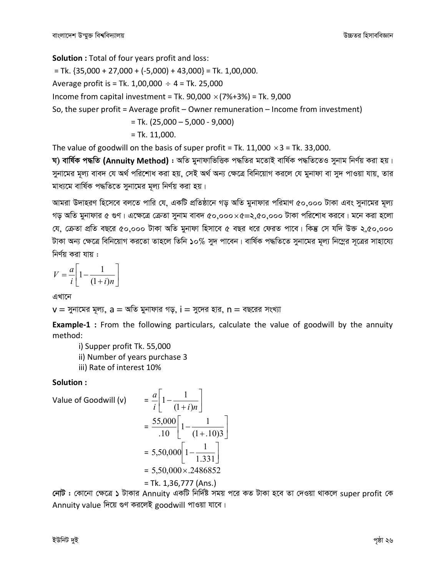**Solution : Total of four years profit and loss:** 

 $=$  Tk. {35,000 + 27,000 + (-5,000) + 43,000} = Tk. 1,00,000.

Average profit is = Tk.  $1,00,000 \div 4 =$  Tk. 25,000

Income from capital investment = Tk. 90,000  $\times$  (7%+3%) = Tk. 9,000

So, the super profit = Average profit – Owner remuneration – Income from investment)

 $=$  Tk. (25,000  $-$  5,000 - 9,000)

$$
=
$$
 Tk. 11,000.

The value of goodwill on the basis of super profit = Tk. 11,000  $\times$ 3 = Tk. 33,000.

ঘ) বাৰ্ষিক পদ্ধতি (Annuitv Method) : অতি মুনাফাভিত্তিক পদ্ধতির মতোই বাৰ্ষিক পদ্ধতিতেও সুনাম নিৰ্ণয় করা হয়। সুনামের মূল্য বাবদ যে অর্থ পরিশোধ করা হয়, সেই অর্থ অন্য ক্ষেত্রে বিনিয়োগ করলে যে মুনাফা বা সুদ পাওয়া যায়, তার মাধ্যমে বার্ষিক পদ্ধতিতে সনামের মূল্য নির্ণয় করা হয়।

আমরা উদাহরণ হিসেবে বলতে পারি যে, একটি প্রতিষ্ঠানে গড় অতি মুনাফার পরিমাণ ৫০,০০০ টাকা এবং সুনামের মূল্য গড় অতি মুনাফার ৫ গুণ। এক্ষেত্রে ক্রেতা সুনাম বাবদ ৫০.০০০ $\times$ ৫=২.৫০.০০০ টাকা পরিশোধ করবে। মনে করা হলো যে, ক্রেতা প্রতি বছরে ৫০,০০০ টাকা অতি মুনাফা হিসাবে ৫ বছর ধরে ফেরত পাবে। কিন্তু সে যদি উক্ত ২,৫০,০০০ টাকা অন্য ক্ষেত্রে বিনিয়োগ করতো তাহলে তিনি ১০% সুদ পাবেন। বার্ষিক পদ্ধতিতে সুনামের মূল্য নিম্নের সূত্রের সাহায্যে নিৰ্ণয় করা যায় :

$$
V = \frac{a}{i} \left[ 1 - \frac{1}{(1+i)n} \right]
$$

এখানে

 $v = \frac{1}{2}$ নামের মূল্য,  $a = \infty$ তি মুনাফার গড়, i = সুদের হার, n = বছরের সংখ্যা

 $\blacksquare$ 

**Example-1** : From the following particulars, calculate the value of goodwill by the annuity method:

i) Supper profit Tk. 55,000

ii) Number of years purchase 3

iii) Rate of interest 10%

#### Solution:

Value of Goodwill (v)

$$
= \frac{a}{i} \left[ 1 - \frac{1}{(1+i)n} \right]
$$
  
=  $\frac{55,000}{.10} \left[ 1 - \frac{1}{(1+.10)3} \right]$   
=  $5,50,000 \left[ 1 - \frac{1}{1.331} \right]$   
=  $5,50,000 \times .2486852$   
= Tk. 1.36.777 (Ans.)

 $\mathbf{\mathcal{L}}$ 

নেট : কোনো ক্ষেত্রে ১ টাকার Annuity একটি নির্দিষ্ট সময় পরে কত টাকা হবে তা দেওয়া থাকলে super profit কে Annuity value দিয়ে গুণ করলেই goodwill পাওয়া যাবে।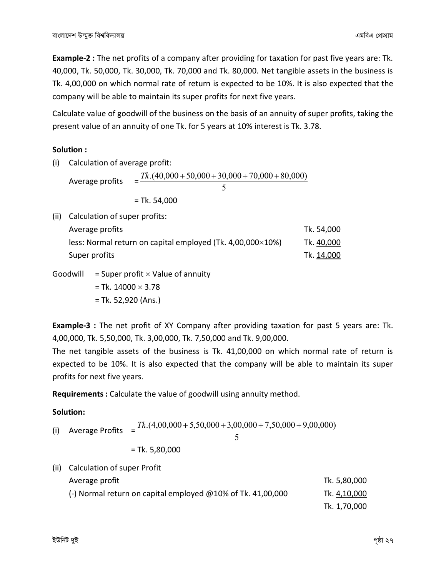**Example-2 :** The net profits of a company after providing for taxation for past five years are: Tk. 40,000, Tk. 50,000, Tk. 30,000, Tk. 70,000 and Tk. 80,000. Net tangible assets in the business is Tk. 4,00,000 on which normal rate of return is expected to be 10%. It is also expected that the company will be able to maintain its super profits for next five years.

Calculate value of goodwill of the business on the basis of an annuity of super profits, taking the present value of an annuity of one Tk. for 5 years at 10% interest is Tk. 3.78.

#### **Solution :**

(i) Calculation of average profit:

Average profits 5  $=\frac{Tk.(40,000+50,000+30,000+70,000+80,000)}{k(1,0)(1,0)(1,0)(1,0)(1,0)(1,0)}$ = Tk. 54,000

| (ii) Calculation of super profits:                         |            |
|------------------------------------------------------------|------------|
| Average profits                                            | Tk. 54,000 |
| less: Normal return on capital employed (Tk. 4,00,000×10%) | Tk. 40,000 |
| Super profits                                              | Tk. 14,000 |

Goodwill  $=$  Super profit  $\times$  Value of annuity

 $=$  Tk. 14000  $\times$  3.78 = Tk. 52,920 (Ans.)

**Example-3 :** The net profit of XY Company after providing taxation for past 5 years are: Tk. 4,00,000, Tk. 5,50,000, Tk. 3,00,000, Tk. 7,50,000 and Tk. 9,00,000.

The net tangible assets of the business is Tk. 41,00,000 on which normal rate of return is expected to be 10%. It is also expected that the company will be able to maintain its super profits for next five years.

**Requirements :** Calculate the value of goodwill using annuity method.

#### **Solution:**

(i) Average Profits = 5 *Tk*.(4,00,000 + 5,50,000 + 3,00,000 + 7,50,000 + 9,00,000) = Tk. 5,80,000 (ii) Calculation of super Profit Average profit and the set of the set of the set of the set of the set of the SS80,000  $\sigma$ 

| <b>AVEIAKE DIVIIL</b>                                          | <b>UN. J,OU,UUU</b> |
|----------------------------------------------------------------|---------------------|
| (-) Normal return on capital employed $@10\%$ of Tk. 41,00,000 | Tk. 4,10,000        |
|                                                                | Tk. 1,70,000        |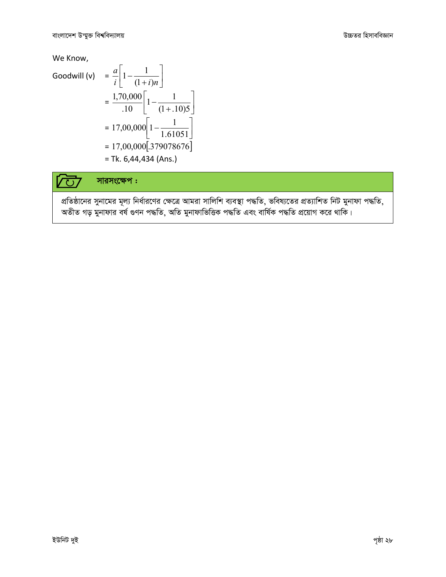We Know,

Goodwill (v) 
$$
= \frac{a}{i} \left[ 1 - \frac{1}{(1+i)n} \right]
$$

$$
= \frac{1,70,000}{.10} \left[ 1 - \frac{1}{(1+.10)5} \right]
$$

$$
= 17,00,000 \left[ 1 - \frac{1}{1.61051} \right]
$$

$$
= 17,00,000 \left[ .379078676 \right]
$$

$$
= Tk. 6,44,434 \text{ (Ans.)}
$$

 $\overline{a}$ 

#### সারসংক্ষেপ:  $\overline{\text{C}}$

প্রতিষ্ঠানের সুনামের মূল্য নির্ধারণের ক্ষেত্রে আমরা সালিশি ব্যবস্থা পদ্ধতি, ভবিষ্যতের প্রত্যাশিত নিট মুনাফা পদ্ধতি, অতীত গড় মুনাফার বর্ষ গুণন পদ্ধতি, অতি মুনাফাভিত্তিক পদ্ধতি এবং বার্ষিক পদ্ধতি প্রয়োগ করে থাকি।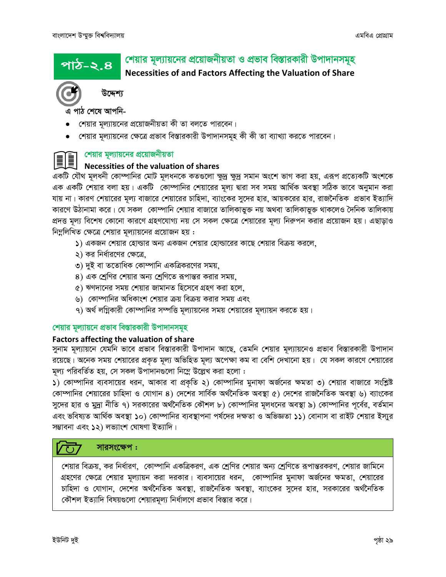পাঠ-২.৪

# শেয়ার মূল্যায়নের প্রয়োজনীয়তা ও প্রভাব বিস্তারকারী উপাদানসমূহ

Necessities of and Factors Affecting the Valuation of Share



উদ্দেশ্য

এ পাঠ শেষে আপনি-

- শেয়ার মূল্যায়নের প্রয়োজনীয়তা কী তা বলতে পারবেন।
- শেয়ার মূল্যায়নের ক্ষেত্রে প্রভাব বিস্তারকারী উপাদানসমূহ কী কী তা ব্যাখ্যা করতে পারবেন।

## শেয়ার মূল্যায়নের প্রয়োজনীয়তা

## Necessities of the valuation of shares

একটি যৌথ মূলধনী কোম্পানির মোট মূলধনকে কতগুলো ক্ষুদ্র ক্ষুদ্র সমান অংশে ভাগ করা হয়, এরূপ প্রত্যেকটি অংশকে এক একটি শেয়ার বলা হয়। একটি কোম্পানির শেয়ারের মূল্য দ্বারা সব সময় আর্থিক অবস্থা সঠিক ভাবে অনুমান করা যায় না। কারণ শেয়ারের মূল্য বাজারে শেয়ারের চাহিদা, ব্যাংকের সুদের হার, আয়করের হার, রাজনৈতিক প্রভাব ইত্যাদি কারণে উঠানামা করে। যে সকল কোম্পানি শেয়ার বাজারে তালিকাভুক্ত নয় অথবা তালিকাভুক্ত থাকলেও দৈনিক তালিকায় প্রদত্ত মূল্য বিশেষ কোনো কারণে গ্রহণযোগ্য নয় সে সকল ক্ষেত্রে শেয়ারের মূল্য নিরুপন করার প্রয়োজন হয়। এছাড়াও নিম্নলিখিত ক্ষেত্রে শেয়ার মূল্যায়নের প্রয়োজন হয় :

- ১) একজন শেয়ার হোল্ডার অন্য একজন শেয়ার হোল্ডারের কাছে শেয়ার বিক্রয় করলে,
- ২) কর নির্ধারণের ক্ষেত্রে,
- ৩) দুই বা ততোধিক কোম্পানি একত্রিকরণের সময়,
- ৪) এক শ্রেণির শেয়ার অন্য শ্রেণিতে রূপান্তর করার সময়,
- ৫) ঋণদানের সময় শেয়ার জামানত হিসেবে গ্রহণ করা হলে,
- ৬) কোম্পানির অধিকাংশ শেয়ার ক্রয় বিক্রয় করার সময় এবং
- ৭) অর্থ লগ্নিকারী কোম্পানির সম্পত্তি মূল্যায়নের সময় শেয়ারের মূল্যায়ন করতে হয়।

#### শেয়ার মূল্যায়নে প্রভাব বিস্তারকারী উপাদানসমূহ

#### **Factors affecting the valuation of share**

সুনাম মূল্যায়নে যেমনি ভাবে প্রভাব বিস্তারকারী উপাদান আছে, তেমনি শেয়ার মূল্যায়নেও প্রভাব বিস্তারকারী উপাদান রয়েছে। অনেক সময় শেয়ারের প্রকৃত মূল্য অভিহিত মূল্য অপেক্ষা কম বা বেশি দেখানো হয়। যে সকল কারণে শেয়ারের মূল্য পরিবর্তিত হয়, সে সকল উপাদানগুলো নিম্নে উল্লেখ করা হলো :

১) কোম্পানির ব্যবসায়ের ধরন, আকার বা প্রকৃতি ২) কোম্পানির মুনাফা অর্জনের ক্ষমতা ৩) শেয়ার বাজারে সংশ্লিষ্ট কোম্পানির শেয়ারের চাহিদা ও যোগান ৪) দেশের সার্বিক অর্থনৈতিক অবস্থা ৫) দেশের রাজনৈতিক অবস্থা ৬) ব্যাংকের সুদের হার ও মুদ্রা নীতি ৭) সরকারের অর্থনৈতিক কৌশল ৮) কোম্পানির মূলধনের অবস্থা ৯) কোম্পানির পূর্বের, বর্তমান এবং ভবিষ্যত আর্থিক অবস্থা ১০) কোম্পানির ব্যবস্থাপনা পর্ষদের দক্ষতা ও অভিজ্ঞতা ১১) বোনাস বা রাইট শেয়ার ইস্যুর সম্ভাবনা এবং ১২) লভ্যাংশ ঘোষণা ইত্যাদি।

#### সারসংক্ষেপ :  $\overline{C}$

শেয়ার বিক্রয়, কর নির্ধারণ, কোম্পানি একত্রিকরণ, এক শ্রেণির শেয়ার অন্য শ্রেণিতে রূপান্তরকরণ, শেয়ার জামিনে গ্রহণের ক্ষেত্রে শেয়ার মূল্যায়ন করা দরকার। ব্যবসায়ের ধরন, কোম্পানির মুনাফা অর্জনের ক্ষমতা, শেয়ারের চাহিদা ও যোগান, দেশের অর্থনৈতিক অবস্থা, রাজনৈতিক অবস্থা, ব্যাংকের সুদের হার, সরকারের অর্থনৈতিক কৌশল ইত্যাদি বিষয়গুলো শেয়ারমূল্য নির্ধালণে প্রভাব বিস্তার করে।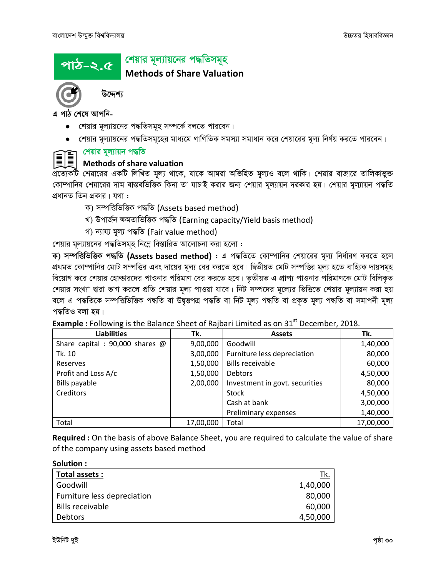# <u>পাঠ-২.৫</u>

### | শেয়ার মূল্যায়নের পদ্ধতিসমূহ

**Methods of Share Valuation** 



উদ্দেশ্য

এ পাঠ শেষে আপনি-

- শেয়ার মূল্যায়নের পদ্ধতিসমূহ সম্পর্কে বলতে পারবেন।
- শেয়ার মূল্যায়নের পদ্ধতিসমূহের মাধ্যমে গাণিতিক সমস্যা সমাধান করে শেয়ারের মূল্য নির্ণয় করতে পারবেন।

# =়া শেয়ার মূল্যায়ন পদ্ধতি

# Methods of share valuation

প্রত্যেকটি শেয়ারের একটি লিখিত মূল্য থাকে, যাকে আমরা অভিহিত মূল্যও বলে থাকি। শেয়ার বাজারে তালিকাভুক্ত কোম্পানির শেয়ারের দাম বাস্তবভিত্তিক কিনা তা যাচাই করার জন্য শেয়ার মূল্যায়ন দরকার হয়। শেয়ার মূল্যায়ন পদ্ধতি প্রধানত তিন প্রকার। যথা :

- ক) সম্পত্তিভিত্তিক পদ্ধতি (Assets based method)
- খ) উপাৰ্জন ক্ষমতাভিত্তিক পদ্ধতি (Earning capacity/Yield basis method)
- গ) ন্যায্য মূল্য পদ্ধতি (Fair value method)

শেয়ার মূল্যায়নের পদ্ধতিসমূহ নিম্নে বিস্তারিত আলোচনা করা হলো:

ক) সম্পত্তিভিত্তিক পদ্ধতি (Assets based method) : এ পদ্ধতিতে কোম্পানির শেয়ারের মূল্য নির্ধারণ করতে হলে প্রথমত কোম্পানির মোট সম্পত্তির এবং দায়ের মূল্য বের করতে হবে। দ্বিতীয়ত মোট সম্পত্তির মূল্য হতে বাহ্যিক দায়সমূহ বিয়োগ করে শেয়ার হোল্ডারদের পাওনার পরিমাণ বের করতে হবে। তৃতীয়ত এ প্রাপ্য পাওনার পরিমাণকে মোট বিলিকৃত শেয়ার সংখ্যা দ্বারা ভাগ করলে প্রতি শেয়ার মূল্য পাওয়া যাবে। নিট সম্পদের মূল্যের ভিত্তিতে শেয়ার মূল্যায়ন করা হয় বলে এ পদ্ধতিকে সম্পত্তিভিত্তিক পদ্ধতি বা উদ্বৃত্তপত্ৰ পদ্ধতি বা নিট মূল্য পদ্ধতি বা প্ৰকৃত মূল্য পদ্ধতি বা সমাপনী মূল্য পদ্ধতিও বলা হয়।

|  |  |  |  |  | <b>Example</b> : Following is the Balance Sheet of Rajbari Limited as on 31 <sup>st</sup> December, 2018. |  |
|--|--|--|--|--|-----------------------------------------------------------------------------------------------------------|--|
|  |  |  |  |  |                                                                                                           |  |

| <b>Liabilities</b>              | Tk.       | <b>Assets</b>                  | Tk.       |
|---------------------------------|-----------|--------------------------------|-----------|
| Share capital : 90,000 shares @ | 9,00,000  | Goodwill                       | 1,40,000  |
| Tk. 10                          | 3,00,000  | Furniture less depreciation    | 80,000    |
| Reserves                        | 1,50,000  | <b>Bills receivable</b>        | 60,000    |
| Profit and Loss A/c             | 1,50,000  | <b>Debtors</b>                 | 4,50,000  |
| Bills payable                   | 2,00,000  | Investment in govt. securities | 80,000    |
| Creditors                       |           | <b>Stock</b>                   | 4,50,000  |
|                                 |           | Cash at bank                   | 3,00,000  |
|                                 |           | Preliminary expenses           | 1,40,000  |
| Total                           | 17,00,000 | Total                          | 17,00,000 |

Required : On the basis of above Balance Sheet, you are required to calculate the value of share of the company using assets based method

Solution:

| Total assets :              | Tk.      |
|-----------------------------|----------|
| Goodwill                    | 1,40,000 |
| Furniture less depreciation | 80,000   |
| <b>Bills receivable</b>     | 60,000   |
| <b>Debtors</b>              | 4,50,000 |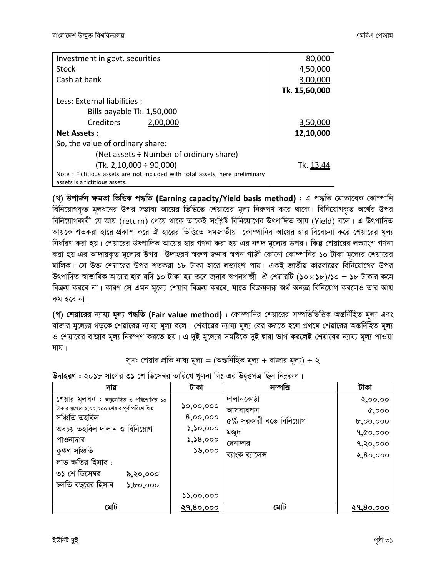| Investment in govt. securities                                               | 80,000           |
|------------------------------------------------------------------------------|------------------|
| Stock                                                                        | 4,50,000         |
| Cash at bank                                                                 | 3,00,000         |
|                                                                              | Tk. 15,60,000    |
| Less: External liabilities :                                                 |                  |
| Bills payable Tk. 1,50,000                                                   |                  |
| Creditors<br>2,00,000                                                        | 3,50,000         |
| <b>Net Assets:</b>                                                           | 12,10,000        |
| So, the value of ordinary share:                                             |                  |
| (Net assets $\div$ Number of ordinary share)                                 |                  |
| $(Tk. 2, 10,000 \div 90,000)$                                                | Tk. <u>13.44</u> |
| Note: Fictitious assets are not included with total assets, here preliminary |                  |
| assets is a fictitious assets.                                               |                  |

*(L) DcvR©b ÿgZv wfwËK c×wZ* **(Earning capacity/Yield basis method)** *: G c×wZ †gvZv‡eK †Kv¤úvwb বি*নিয়োগকৃত মূলধনের উপর সম্ভাব্য আয়ের ভিত্তিতে শেয়ারের মূল্য নিরুপণ করে থাকে। বিনিয়োগকৃত অর্থের উপর *বিনি*য়োগকারী যে আয় (return) পেয়ে থাকে তাকেই সংশ্লিষ্ট বিনিয়োগের উৎপাদিত আয় (Yield) বলে। এ উৎপাদিত *Avq‡K kZKiv nv‡i cÖKvk K‡i H nv‡ii wfwˇZ mgRvZxq †Kv¤úvwbi Av‡qi nvi we‡ePbv K‡i †kqv‡ii g~j¨ নি*র্ধারণ করা হয়। শেয়ারের উৎপাদিত আয়ের হার গণনা করা হয় এর নগদ মূল্যের উপর। কিন্তু শেয়ারের লভ্যাংশ গণনা করা হয় এর আদায়কৃত মূল্যের উপর। উদাহরণ স্বরুপ জনাব স্বপন গাজী কোনো কোম্পানির ১০ টাকা মূল্যের শেয়ারের মালিক। সে উক্ত শেয়ারের উপর শতকরা ১৮ টাকা হারে লভ্যাংশ পায়। একই জাতীয় কারবারের বিনিয়োগের উপর  $B$ ন্দীদিত স্বাভাবিক আয়ের হার যদি ১০ টাকা হয় তবে জনাব স্বপনগাজী ঐ শেয়ারটি (১০ $\times$ ১৮)/১০ = ১৮ টাকার কমে *বিক্র*য় করবে না। কারণ সে এমন মূল্যে শেয়ার বিক্রয় করবে, যাতে বিক্রয়লব্ধ অর্থ অন্যত্র বিনিয়োগ করলেও তার আয় কম হবে না।

*(গ) শে*য়ারের ন্যায্য মূল্য পদ্ধতি (Fair value method) : কোম্পানির শেয়ারের সম্পত্তিভিত্তিক অন্তর্নিহিত মূল্য এবং বাজার মূল্যের গড়কে শেয়ারের ন্যায্য মূল্য বলে। শেয়ারের ন্যায্য মূল্য বের করতে হলে প্রথমে শেয়ারের অন্তর্নিহিত মূল্য ও শেয়ারের বাজার মূল্য নিরুপণ করতে হয়। এ দুই মূল্যের সমষ্টিকে দুই দ্বারা ভাগ করলেই শেয়ারের ন্যায্য মূল্য পাওয়া *hvq|*

#### $m\bar{q}$ : শেয়ার প্রতি নায্য মূল্য = (অন্তর্নিহিত মূল্য + বাজার মূল্য) ÷ ২

| দায়                                         | টাকা                                                 | সম্পত্তি                    | টাকা             |
|----------------------------------------------|------------------------------------------------------|-----------------------------|------------------|
| শেয়ার মূলধন : অনুমোদিত ও পরিশোধিত ১০        |                                                      | দালানকোঠা                   | २,००,००          |
| টাকার মূল্যের ১,০০,০০০ শেয়ার পূর্ব পরিশোধিত | ১০,০০,০০০                                            | আসবাবপত্ৰ                   | Q,000            |
| সঞ্চিতি তহবিল                                | 8,00,000                                             | $6\%$ সরকারী বন্ডে বিনিয়োগ | b, oo, oo        |
| অবচয় তহবিল দালান ও বিনিয়োগ                 | $\mathcal{L}, \mathcal{L}, \mathcal{L}, \mathcal{L}$ | মজুদ                        | 9,00,000         |
| পাওনাদার                                     | 5,58,000                                             | দেনাদার                     | 9,80,000         |
| কুঋণ সঞ্চিতি                                 | $\mathcal{S}_2$ ত                                    | ব্যাংক ব্যালেন্স            | 2,80,000         |
| লাভ ক্ষতির হিসাব :                           |                                                      |                             |                  |
| ৩১ শে ডিসেম্বর<br>৯,২০,০০০                   |                                                      |                             |                  |
| চলতি বছরের হিসাব<br>$\lambda$ , bo, 000      |                                                      |                             |                  |
|                                              | 33,00,000                                            |                             |                  |
| মোট                                          | <u>२१,80,000</u>                                     | মোট                         | <u>२१,8०,०००</u> |

ট**দাহরণ : ২০১৮** সালের ৩১ শে ডিসেম্বর তারিখে খুলনা লিঃ এর উদ্বত্তপত্র ছিল নিম্নরুপ।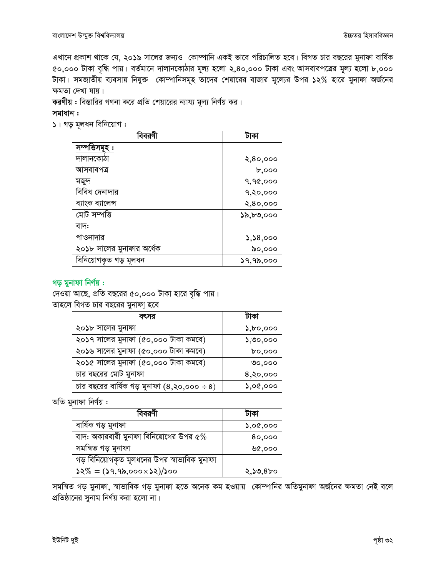এখানে প্রকাশ থাকে যে, ২০১৯ সালের জন্যও কোম্পানি একই ভাবে পরিচালিত হবে। বিগত চার বছরের মুনাফা বার্ষিক ৫০,০০০ টাকা বৃদ্ধি পায়। বর্তমানে দালানকোঠার মূল্য হলো ২,৪০,০০০ টাকা এবং আসবাবপত্রের মূল্য হলো ৮,০০০ টাকা। সমজাতীয় ব্যবসায় নিযুক্ত কোম্পানিসমূহ তাদের শেয়ারের বাজার মূল্যের উপর ১২% হারে মুনাফা অর্জনের ক্ষমতা দেখা যায়।

করণীয় : বিস্তারির গণনা করে প্রতি শেয়ারের ন্যায্য মূল্য নির্ণয় কর।

সমাধান :

 $\mathsf{S}$ । গড় মূলধন বিনিয়োগ :

| বিবরণী                    | টাকা         |
|---------------------------|--------------|
| সম্পাত্তসম                |              |
| দালানকোঠা                 | 2,80,000     |
| আসবাবপত্ৰ                 | b,000        |
| মজুদ                      | 9,90,000     |
| বিবিধ দেনাদার             | 9,80,000     |
| ব্যাংক ব্যালেন্স          | 2,80,000     |
| মোট সম্পত্তি              | ১৯,৮৩,০০০    |
| বাদ:                      |              |
| পাওনাদার                  | 3,38,000     |
| ২০১৮ সালের মুনাফার অর্ধেক | ৯০,০০০       |
| বিনিয়োগকৃত গড় মূলধন     | $29,9$ ৯,০০০ |

#### গড় মুনাফা নির্ণয়:

দেওয়া আছে, প্রতি বছরের ৫০,০০০ টাকা হারে বৃদ্ধি পায়। তাহলে বিগত চার বছরের মুনাফা হবে

| বৎসর                                               | ঢাকা                                              |  |
|----------------------------------------------------|---------------------------------------------------|--|
| ২০১৮ সালের মুনাফা                                  | $\mathcal{E},\mathcal{E},\mathcal{E},\mathcal{E}$ |  |
| ২০১৭ সালের মুনাফা (৫০,০০০ টাকা কমবে)               | 5,00,000                                          |  |
| ২০১৬ সালের মুনাফা (৫০,০০০ টাকা কমবে)               | $b$ 0,000                                         |  |
| ২০১৫ সালের মুনাফা (৫০,০০০ টাকা কমবে)               | $\mathcal{O}^{\circ}$ 000                         |  |
| চার বছরের মোট মুনাফা                               | $8,$ २०,०००                                       |  |
| চার বছরের বার্ষিক গড় মুনাফা $(8, 30, 000 \div 8)$ | $\Omega$ ,00,000                                  |  |

অতি মুনাফা নিৰ্ণয় :

|                                              | ঢাকা             |
|----------------------------------------------|------------------|
| বাৰ্ষিক গড় মুনাফা                           | $\Omega$ ,00,000 |
| বাদ: অকারবারী মুনাফা বিনিয়োগের উপর ৫ $\%$   | 80,000           |
| সমন্বিত গড় মুনাফা                           | ৬৫,০০০           |
| গড় বিনিয়োগকৃত মূলধনের উপর স্বাভাবিক মুনাফা |                  |
| $32\% = (39,95,000\times 32)/300$            | ২,১৩,৪৮০         |

সমন্বিত গড় মুনাফা, স্বাভাবিক গড় মুনাফা হতে অনেক কম হওয়ায় কোম্পানির অতিমুনাফা অর্জনের ক্ষমতা নেই বলে প্রতিষ্ঠানের সুনাম নির্ণয় করা হলো না।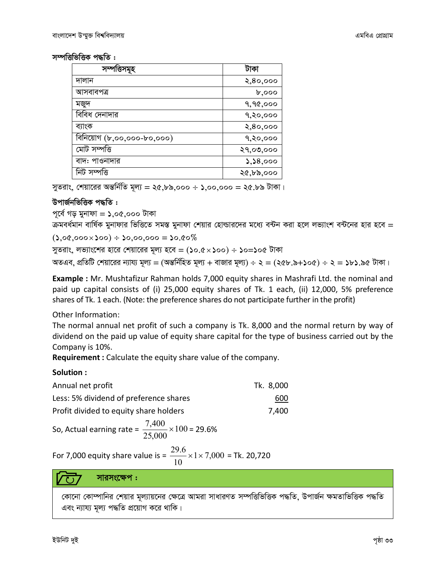$x$ <sub>*m* $\overline{x}$  *r*  $\overline{x}$  *i f*  $\overline{y}$  *c*  $\overline{z}$  *i c*  $\overline{z}$  *i*  $\overline{z}$ </sub>

|                            | টাকা      |
|----------------------------|-----------|
| দালান                      | 2,80,000  |
| আসবাবপত্ৰ                  | b,000     |
| মজুদ                       | 9,90,000  |
| বিবিধ দেনাদার              | 9,80,000  |
| ব্যাংক                     | 2,80,000  |
| বিনিয়োগ (৮,০০,০০০-৮০,০০০) | १,२०,०००  |
| মোট সম্পত্তি               | २१,०७,००० |
| বাদ: পাওনাদার              | 5,58,000  |
| নিট সম্পত্তি               | ২৫,৮৯,০০০ |

*সু*তরাং, শেয়ারের অন্তর্নিতি মূল্য = ২৫,৮৯,০০০ ÷ ১,০০,০০০ = ২৫.৮৯ টাকা।

#### *DcvR©bwfwËK c×wZ :*

*c~‡e© Mo gybvdv = 1,05,000 UvKv*

ক্রমবর্ধমান বার্ষিক মুনাফার ভিত্তিতে সমস্ত মুনাফা শেয়ার হোল্ডারদের মধ্যে বন্টন করা হলে লভ্যাংশ বন্টনের হার হবে =

*(1,05,000100) 10,00,000 = 10.50%*

*myZivs, jf¨vs‡ki nv‡i †kqv‡ii g~j¨ n‡e = (10.5100) 10=105 UvKv*  $A$ জএব, প্রতিটি শেয়ারের ন্যায্য মূল্য = (অন্তর্নিহিত মূল্য + বাজার মূল্য) ÷ ২ = (২৫৮.৯+১০৫) ÷ ২ = ১৮১.৯৫ টাকা।

**Example :** Mr. Mushtafizur Rahman holds 7,000 equity shares in Mashrafi Ltd. the nominal and paid up capital consists of (i) 25,000 equity shares of Tk. 1 each, (ii) 12,000, 5% preference shares of Tk. 1 each. (Note: the preference shares do not participate further in the profit)

Other Information:

The normal annual net profit of such a company is Tk. 8,000 and the normal return by way of dividend on the paid up value of equity share capital for the type of business carried out by the Company is 10%.

**Requirement :** Calculate the equity share value of the company.

#### **Solution :**

| Annual net profit                                                   | Tk. 8,000 |
|---------------------------------------------------------------------|-----------|
| Less: 5% dividend of preference shares                              | 600       |
| Profit divided to equity share holders                              | 7,400     |
| $7,400$ $\times$ 100 = 20.6%<br>$C_{\alpha}$ , Astual constants $=$ |           |

So, Actual earning rate = 
$$
\frac{7,400}{25,000} \times 100 = 29.6\%
$$

For 7,000 equity share value is =  $\frac{25.0}{10} \times 1 \times 7,000$ 10  $\frac{29.6}{10}$  × 1 × 7,000 = Tk. 20,720

#### সারসংক্ষেপ :

*(*কানো কোম্পানির শেয়ার মূল্যায়নের ক্ষেত্রে আমরা সাধারণত সম্পত্তিভিত্তিক পদ্ধতি, উপার্জন ক্ষমতাভিত্তিক পদ্ধতি এবং ন্যায্য মূল্য পদ্ধতি প্রয়োগ করে থাকি।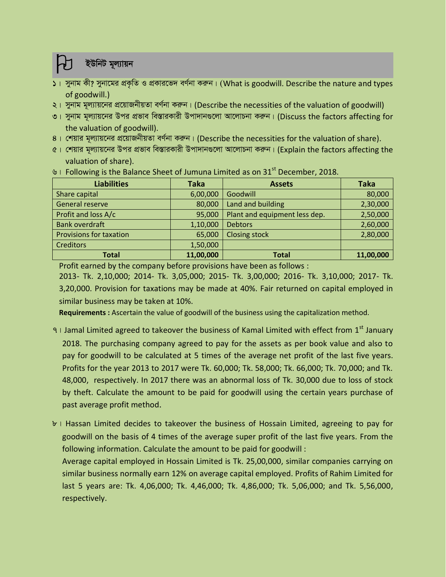### *ইউনিট মুল্যায়ন*

- *1| mybvg Kx? mybv‡gi cÖK…wZ I cÖKvi‡f` eY©bv Kiæb| (*What is goodwill. Describe the nature and types of goodwill.)
- *2| mybvg g~j¨vq‡bi cÖ‡qvRbxqZv eY©bv Kiæb|* (Describe the necessities of the valuation of goodwill)
- ৩। সুনাম মূল্যায়নের উপর প্রভাব বিস্তারকারী উপাদানগুলো আলোচনা করুন। (Discuss the factors affecting for the valuation of goodwill).
- $8$ । শেয়ার মূল্যায়নের প্রয়োজনীয়তা বর্ণনা করুন। (Describe the necessities for the valuation of share).
- *5| †kqvi g~j¨vq‡bi Dci cÖfve we¯ÍviKvix Dcv`vb¸‡jv Av‡jvPbv Kiæb|* (Explain the factors affecting the valuation of share).

| <b>Liabilities</b>             | <b>Taka</b> | <b>Assets</b>                 | <b>Taka</b> |
|--------------------------------|-------------|-------------------------------|-------------|
| Share capital                  | 6,00,000    | Goodwill                      | 80,000      |
| General reserve                | 80,000      | Land and building             | 2,30,000    |
| Profit and loss A/c            | 95,000      | Plant and equipment less dep. | 2,50,000    |
| <b>Bank overdraft</b>          | 1,10,000    | <b>Debtors</b>                | 2,60,000    |
| <b>Provisions for taxation</b> | 65,000      | <b>Closing stock</b>          | 2,80,000    |
| <b>Creditors</b>               | 1,50,000    |                               |             |
| <b>Total</b>                   | 11,00,000   | <b>Total</b>                  | 11,00,000   |

*b* | Following is the Balance Sheet of Jumuna Limited as on 31<sup>st</sup> December, 2018.

Profit earned by the company before provisions have been as follows :

2013- Tk. 2,10,000; 2014- Tk. 3,05,000; 2015- Tk. 3,00,000; 2016- Tk. 3,10,000; 2017- Tk. 3,20,000. Provision for taxations may be made at 40%. Fair returned on capital employed in similar business may be taken at 10%.

**Requirements :** Ascertain the value of goodwill of the business using the capitalization method.

- *7* I Jamal Limited agreed to takeover the business of Kamal Limited with effect from 1<sup>st</sup> January 2018. The purchasing company agreed to pay for the assets as per book value and also to pay for goodwill to be calculated at 5 times of the average net profit of the last five years. Profits for the year 2013 to 2017 were Tk. 60,000; Tk. 58,000; Tk. 66,000; Tk. 70,000; and Tk. 48,000, respectively. In 2017 there was an abnormal loss of Tk. 30,000 due to loss of stock by theft. Calculate the amount to be paid for goodwill using the certain years purchase of past average profit method*.*
- *8|* Hassan Limited decides to takeover the business of Hossain Limited, agreeing to pay for goodwill on the basis of 4 times of the average super profit of the last five years. From the following information. Calculate the amount to be paid for goodwill :

Average capital employed in Hossain Limited is Tk. 25,00,000, similar companies carrying on similar business normally earn 12% on average capital employed. Profits of Rahim Limited for last 5 years are: Tk. 4,06,000; Tk. 4,46,000; Tk. 4,86,000; Tk. 5,06,000; and Tk. 5,56,000, respectively.